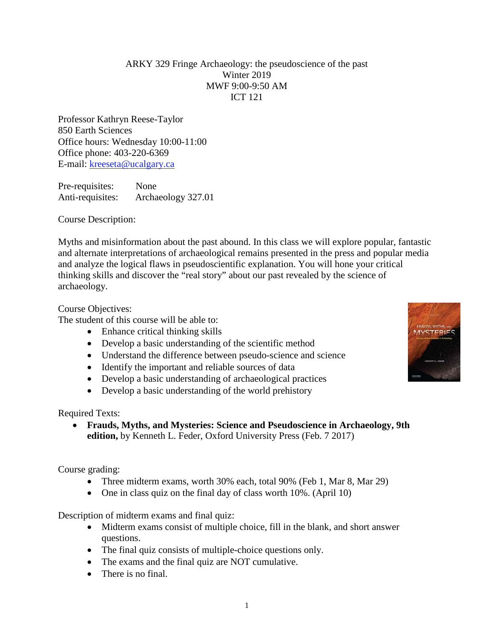#### ARKY 329 Fringe Archaeology: the pseudoscience of the past Winter 2019 MWF 9:00-9:50 AM ICT 121

Professor Kathryn Reese-Taylor 850 Earth Sciences Office hours: Wednesday 10:00-11:00 Office phone: 403-220-6369 E-mail: [kreeseta@ucalgary.ca](mailto:k_reesetaylor@yahoo.com)

Pre-requisites: None Anti-requisites: Archaeology 327.01

Course Description:

Myths and misinformation about the past abound. In this class we will explore popular, fantastic and alternate interpretations of archaeological remains presented in the press and popular media and analyze the logical flaws in pseudoscientific explanation. You will hone your critical thinking skills and discover the "real story" about our past revealed by the science of archaeology.

Course Objectives:

The student of this course will be able to:

- Enhance critical thinking skills
- Develop a basic understanding of the scientific method
- Understand the difference between pseudo-science and science
- Identify the important and reliable sources of data
- Develop a basic understanding of archaeological practices
- Develop a basic understanding of the world prehistory

Required Texts:

• **Frauds, Myths, and Mysteries: Science and Pseudoscience in Archaeology, 9th edition,** by Kenneth L. Feder, Oxford University Press (Feb. 7 2017)

Course grading:

- Three midterm exams, worth 30% each, total 90% (Feb 1, Mar 8, Mar 29)
- One in class quiz on the final day of class worth 10%. (April 10)

Description of midterm exams and final quiz:

- Midterm exams consist of multiple choice, fill in the blank, and short answer questions.
- The final quiz consists of multiple-choice questions only.
- The exams and the final quiz are NOT cumulative.
- There is no final.

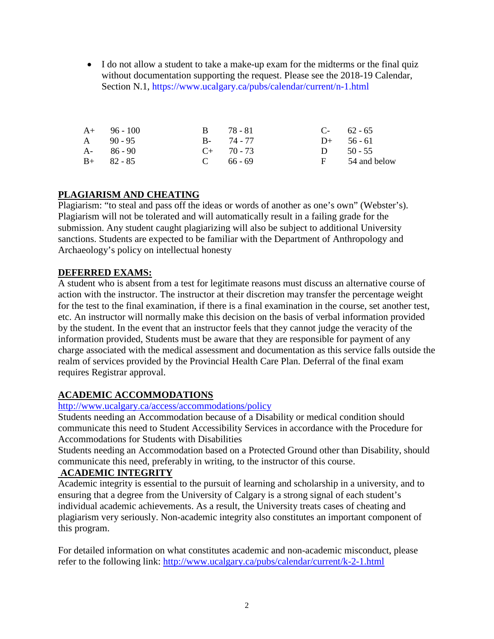• I do not allow a student to take a make-up exam for the midterms or the final quiz without documentation supporting the request. Please see the 2018-19 Calendar, Section N.1,<https://www.ucalgary.ca/pubs/calendar/current/n-1.html>

| $A+ 96-100$   | B 78-81         | $C-62-65$      |
|---------------|-----------------|----------------|
| A $90-95$     | $B - 74 - 77$   | $D+ 56 - 61$   |
| $A - 86 - 90$ | $C_{+}$ 70 - 73 | D $50 - 55$    |
| $B+ 82 - 85$  | $C = 66 - 69$   | F 54 and below |

# **PLAGIARISM AND CHEATING**

Plagiarism: "to steal and pass off the ideas or words of another as one's own" (Webster's). Plagiarism will not be tolerated and will automatically result in a failing grade for the submission. Any student caught plagiarizing will also be subject to additional University sanctions. Students are expected to be familiar with the Department of Anthropology and Archaeology's policy on intellectual honesty

## **DEFERRED EXAMS:**

A student who is absent from a test for legitimate reasons must discuss an alternative course of action with the instructor. The instructor at their discretion may transfer the percentage weight for the test to the final examination, if there is a final examination in the course, set another test, etc. An instructor will normally make this decision on the basis of verbal information provided by the student. In the event that an instructor feels that they cannot judge the veracity of the information provided, Students must be aware that they are responsible for payment of any charge associated with the medical assessment and documentation as this service falls outside the realm of services provided by the Provincial Health Care Plan. Deferral of the final exam requires Registrar approval.

# **ACADEMIC ACCOMMODATIONS**

## <http://www.ucalgary.ca/access/accommodations/policy>

Students needing an Accommodation because of a Disability or medical condition should communicate this need to Student Accessibility Services in accordance with the Procedure for Accommodations for Students with Disabilities

Students needing an Accommodation based on a Protected Ground other than Disability, should communicate this need, preferably in writing, to the instructor of this course.

## **ACADEMIC INTEGRITY**

Academic integrity is essential to the pursuit of learning and scholarship in a university, and to ensuring that a degree from the University of Calgary is a strong signal of each student's individual academic achievements. As a result, the University treats cases of cheating and plagiarism very seriously. Non-academic integrity also constitutes an important component of this program.

For detailed information on what constitutes academic and non-academic misconduct, please refer to the following link:<http://www.ucalgary.ca/pubs/calendar/current/k-2-1.html>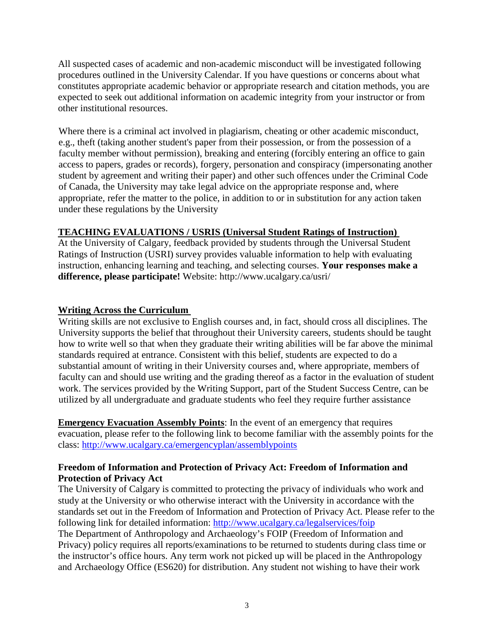All suspected cases of academic and non-academic misconduct will be investigated following procedures outlined in the University Calendar. If you have questions or concerns about what constitutes appropriate academic behavior or appropriate research and citation methods, you are expected to seek out additional information on academic integrity from your instructor or from other institutional resources.

Where there is a criminal act involved in plagiarism, cheating or other academic misconduct, e.g., theft (taking another student's paper from their possession, or from the possession of a faculty member without permission), breaking and entering (forcibly entering an office to gain access to papers, grades or records), forgery, personation and conspiracy (impersonating another student by agreement and writing their paper) and other such offences under the Criminal Code of Canada, the University may take legal advice on the appropriate response and, where appropriate, refer the matter to the police, in addition to or in substitution for any action taken under these regulations by the University

#### **TEACHING EVALUATIONS / USRIS (Universal Student Ratings of Instruction)**

At the University of Calgary, feedback provided by students through the Universal Student Ratings of Instruction (USRI) survey provides valuable information to help with evaluating instruction, enhancing learning and teaching, and selecting courses. **Your responses make a difference, please participate!** Website: http://www.ucalgary.ca/usri/

#### **Writing Across the Curriculum**

Writing skills are not exclusive to English courses and, in fact, should cross all disciplines. The University supports the belief that throughout their University careers, students should be taught how to write well so that when they graduate their writing abilities will be far above the minimal standards required at entrance. Consistent with this belief, students are expected to do a substantial amount of writing in their University courses and, where appropriate, members of faculty can and should use writing and the grading thereof as a factor in the evaluation of student work. The services provided by the Writing Support, part of the Student Success Centre, can be utilized by all undergraduate and graduate students who feel they require further assistance

**Emergency Evacuation Assembly Points**: In the event of an emergency that requires evacuation, please refer to the following link to become familiar with the assembly points for the class:<http://www.ucalgary.ca/emergencyplan/assemblypoints>

## **Freedom of Information and Protection of Privacy Act: Freedom of Information and Protection of Privacy Act**

The University of Calgary is committed to protecting the privacy of individuals who work and study at the University or who otherwise interact with the University in accordance with the standards set out in the Freedom of Information and Protection of Privacy Act. Please refer to the following link for detailed information:<http://www.ucalgary.ca/legalservices/foip> The Department of Anthropology and Archaeology's FOIP (Freedom of Information and Privacy) policy requires all reports/examinations to be returned to students during class time or the instructor's office hours. Any term work not picked up will be placed in the Anthropology and Archaeology Office (ES620) for distribution. Any student not wishing to have their work